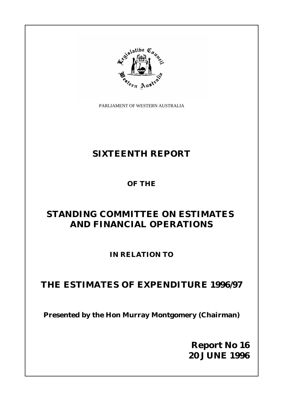PARLIAMENT OF WESTERN AUSTRALIA

**Atibe** 

# **SIXTEENTH REPORT**

**OF THE**

# **STANDING COMMITTEE ON ESTIMATES AND FINANCIAL OPERATIONS**

**IN RELATION TO**

# **THE ESTIMATES OF EXPENDITURE 1996/97**

**Presented by the Hon Murray Montgomery (Chairman)**

**Report No 16 20 JUNE 1996**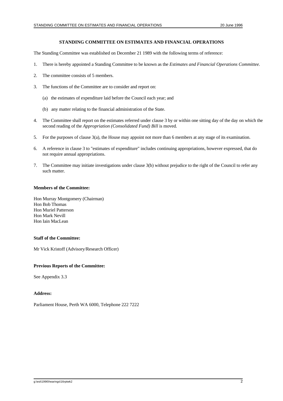#### **STANDING COMMITTEE ON ESTIMATES AND FINANCIAL OPERATIONS**

The Standing Committee was established on December 21 1989 with the following terms of reference:

- 1. There is hereby appointed a Standing Committee to be known as the *Estimates and Financial Operations Committee.*
- 2. The committee consists of 5 members.
- 3. The functions of the Committee are to consider and report on:
	- (a) the estimates of expenditure laid before the Council each year; and
	- (b) any matter relating to the financial administration of the State.
- 4. The Committee shall report on the estimates referred under clause 3 by or within one sitting day of the day on which the second reading of the *Appropriation (Consolidated Fund) Bill* is moved.
- 5. For the purposes of clause 3(a), the House may appoint not more than 6 members at any stage of its examination.
- 6. A reference in clause 3 to "estimates of expenditure" includes continuing appropriations, however expressed, that do not require annual appropriations.
- 7. The Committee may initiate investigations under clause 3(b) without prejudice to the right of the Council to refer any such matter.

#### **Members of the Committee:**

Hon Murray Montgomery (Chairman) Hon Bob Thomas Hon Muriel Patterson Hon Mark Nevill Hon Iain MacLean

#### **Staff of the Committee:**

Mr Vick Kristoff (Advisory/Research Officer)

#### **Previous Reports of the Committee:**

See Appendix 3.3

#### **Address:**

Parliament House, Perth WA 6000, Telephone 222 7222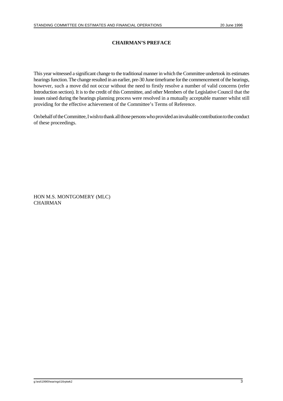## **CHAIRMAN'S PREFACE**

This year witnessed a significant change to the traditional manner in which the Committee undertook its estimates hearings function. The change resulted in an earlier, pre-30 June timeframe for the commencement of the hearings, however, such a move did not occur without the need to firstly resolve a number of valid concerns (refer Introduction section). It is to the credit of this Committee, and other Members of the Legislative Council that the issues raised during the hearings planning process were resolved in a mutually acceptable manner whilst still providing for the effective achievement of the Committee's Terms of Reference.

Onbehalf of the Committee, I wish to thank all those persons who provided an invaluable contribution to the conduct of these proceedings.

HON M.S. MONTGOMERY (MLC) **CHAIRMAN**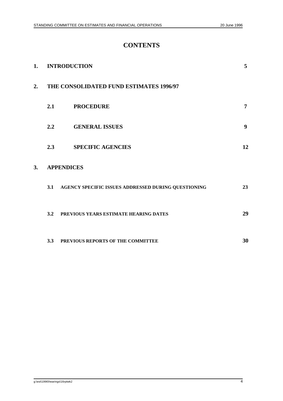# **CONTENTS**

| 1. | <b>INTRODUCTION</b>                     |                                                     | 5  |
|----|-----------------------------------------|-----------------------------------------------------|----|
| 2. | THE CONSOLIDATED FUND ESTIMATES 1996/97 |                                                     |    |
|    | 2.1                                     | <b>PROCEDURE</b>                                    | 7  |
|    | 2.2                                     | <b>GENERAL ISSUES</b>                               | 9  |
|    | 2.3                                     | <b>SPECIFIC AGENCIES</b>                            | 12 |
| 3. | <b>APPENDICES</b>                       |                                                     |    |
|    | 3.1                                     | AGENCY SPECIFIC ISSUES ADDRESSED DURING QUESTIONING | 23 |
|    | 3.2                                     | PREVIOUS YEARS ESTIMATE HEARING DATES               | 29 |
|    | 3.3                                     | PREVIOUS REPORTS OF THE COMMITTEE                   | 30 |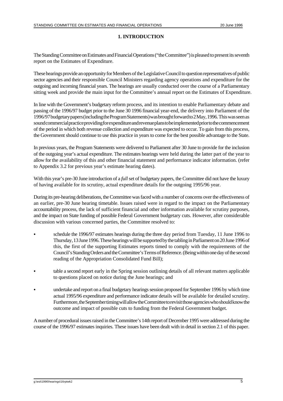### **1. INTRODUCTION**

The Standing Committee on Estimates and Financial Operations ("the Committee") is pleased to present its seventh report on the Estimates of Expenditure.

These hearings provide an opportunity for Members of the Legislative Council to question representatives of public sector agencies and their responsible Council Ministers regarding agency operations and expenditure for the outgoing and incoming financial years. The hearings are usually conducted over the course of a Parliamentary sitting week and provide the main input for the Committee's annual report on the Estimates of Expenditure.

In line with the Government's budgetary reform process, and its intention to enable Parliamentary debate and passing of the 1996/97 budget prior to the June 30 1996 financial year-end, the delivery into Parliament of the 1996/97 budgetary papers (including the Program Statements) was brought forward to 2 May, 1996. This was seen as sound commercial practice providing for expenditure and revenue plans to be implemented prior to the commencement of the period in which both revenue collection and expenditure was expected to occur. To gain from this process, the Government should continue to use this practice in years to come for the best possible advantage to the State.

In previous years, the Program Statements were delivered to Parliament after 30 June to provide for the inclusion of the outgoing year's actual expenditure. The estimates hearings were held during the latter part of the year to allow for the availability of this and other financial statement and performance indicator information. (refer to Appendix 3.2 for previous year's estimate hearing dates).

With this year's pre-30 June introduction of a *full* set of budgetary papers, the Committee did not have the luxury of having available for its scrutiny, actual expenditure details for the outgoing 1995/96 year.

During its pre-hearing deliberations, the Committee was faced with a number of concerns over the effectiveness of an earlier, pre-30 June hearing timetable. Issues raised were in regard to the impact on the Parliamentary accountability process, the lack of sufficient financial and other information available for scrutiny purposes, and the impact on State funding of possible Federal Government budgetary cuts. However, after considerable discussion with various concerned parties, the Committee resolved to:

- C schedule the 1996/97 estimates hearings during the three day period from Tuesday, 11 June 1996 to Thursday, 13 June 1996. These hearings will be supported by the tabling in Parliament on 20 June 1996 of this, the first of the supporting Estimates reports timed to comply with the requirements of the Council's Standing Orders and the Committee's Terms of Reference. (Being within one day of the second reading of the Appropriation Consolidated Fund Bill);
- table a second report early in the Spring session outlining details of all relevant matters applicable to questions placed on notice during the June hearings; and
- C undertake and report on a final budgetary hearings session proposed for September 1996 by which time actual 1995/96 expenditure and performance indicator details will be available for detailed scrutiny. Furthermore, the September timing will allow the Committee to revisit those agencies who should know the outcome and impact of possible cuts to funding from the Federal Government budget.

A number of procedural issues raised in the Committee's 14th report of December 1995 were addressed during the course of the 1996/97 estimates inquiries. These issues have been dealt with in detail in section 2.1 of this paper.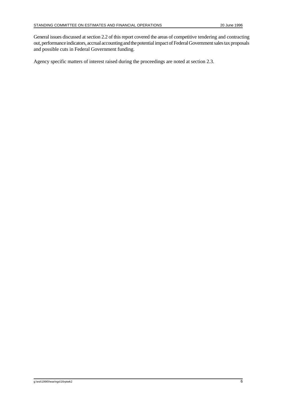General issues discussed at section 2.2 of this report covered the areas of competitive tendering and contracting out, performance indicators, accrual accounting and the potential impact of Federal Government sales tax proposals and possible cuts in Federal Government funding.

Agency specific matters of interest raised during the proceedings are noted at section 2.3.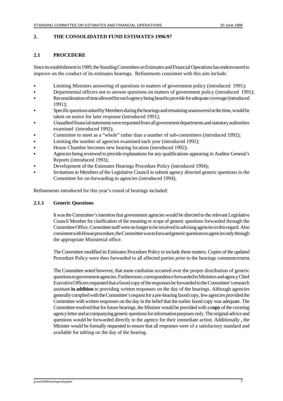#### **2. THE CONSOLIDATED FUND ESTIMATES 1996/97**

### **2.1 PROCEDURE**

Since its establishment in 1989, the Standing Committee on Estimates and Financial Operations has endeavoured to improve on the conduct of its estimates hearings. Refinements consistent with this aim include:

- Limiting Ministers answering of questions to matters of government policy (introduced 1991);
- Departmental officers not to answer questions on matters of government policy (introduced 1991);
- Reconsideration of time allowed for each agency being heard to provide for adequate coverage (introduced 1991);
- C Specific questions asked by Members during the hearings and remaining unanswered at the time, would be taken on notice for later response (introduced 1991);
- C Unaudited financial statements were requested from all government departments and statutory authorities examined (introduced 1992);
- Committee to meet as a "whole" rather than a number of sub-committees (introduced 1992);
- Limiting the number of agencies examined each year (introduced 1992);
- House Chamber becomes new hearing location (introduced 1992);
- Agencies being reviewed to provide explanations for any qualifications appearing in Auditor General's Reports (introduced 1993);
- Development of the Estimates Hearings Procedure Policy (introduced 1994);
- Invitations to Members of the Legislative Council to submit agency directed generic questions to the Committee for on-forwarding to agencies (introduced 1994);

Refinements introduced for this year's round of hearings included:

### **2.1.1 Generic Questions**

It was the Committee's intention that government agencies would be directed to the relevant Legislative Council Member for clarification of the meaning or scope of generic questions forwarded through the Committee Office. Committee staff were no longer to be involved in advising agencies in this regard. Also consistent with House procedure, the Committee was to forward generic questions to agencies only through the appropriate Ministerial office.

The Committee modified its Estimates Procedure Policy to include these matters. Copies of the updated Procedure Policy were then forwarded to all affected parties prior to the hearings commencement.

The Committee noted however, that some confusion occurred over the proper distribution of generic questions to government agencies. Furthermore, correspondence forwarded to Ministers and agency Chief ExecutiveOfficers requested that a faxed copy of the responses be forwarded to the Committee's research assistant **in addition** to providing written responses on the day of the hearings. Although agencies generally complied with the Committee's request for a pre-hearing faxed copy, few agencies provided the Committee with written responses on the day in the belief that the earlier faxed copy was adequate. The Committee resolved that for future hearings, the Minister would be provided with a **copy** of the covering agency letter and accompanying generic questions for information purposes only. The original advice and questions would be forwarded directly to the agency for their immediate action. Additionally , the Minister would be formally requested to ensure that all responses were of a satisfactory standard and available for tabling on the day of the hearing.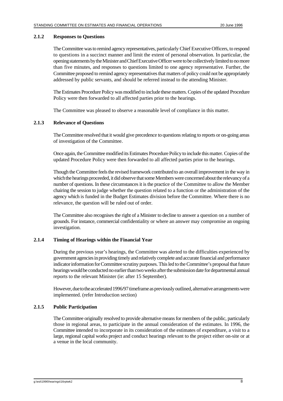#### **2.1.2 Responses to Questions**

The Committee was to remind agency representatives, particularly Chief Executive Officers, to respond to questions in a succinct manner and limit the extent of personal observation. In particular, the opening statements by the Minister and Chief Executive Officer were to be collectively limited to no more than five minutes, and responses to questions limited to one agency representative. Further, the Committee proposed to remind agency representatives that matters of policy could not be appropriately addressed by public servants, and should be referred instead to the attending Minister.

The Estimates Procedure Policy was modified to include these matters. Copies of the updated Procedure Policy were then forwarded to all affected parties prior to the hearings.

The Committee was pleased to observe a reasonable level of compliance in this matter.

#### **2.1.3 Relevance of Questions**

The Committee resolved that it would give precedence to questions relating to reports or on-going areas of investigation of the Committee.

Once again, the Committee modified its Estimates Procedure Policy to include this matter. Copies of the updated Procedure Policy were then forwarded to all affected parties prior to the hearings.

Though the Committee feels the revised framework contributed to an overall improvement in the way in whichthe hearings proceeded, it did observe that some Members were concerned about the relevancy of a number of questions. In these circumstances it is the practice of the Committee to allow the Member chairing the session to judge whether the question related to a function or the administration of the agency which is funded in the Budget Estimates division before the Committee. Where there is no relevance, the question will be ruled out of order.

The Committee also recognises the right of a Minister to decline to answer a question on a number of grounds. For instance, commercial confidentiality or where an answer may compromise an ongoing investigation.

#### **2.1.4 Timing of Hearings within the Financial Year**

During the previous year's hearings, the Committee was alerted to the difficulties experienced by government agencies in providing timely and relatively complete and accurate financial and performance indicator information for Committee scrutiny purposes. This led to the Committee's proposal that future hearings would be conducted no earlier than two weeks after the submission date for departmental annual reports to the relevant Minister (ie: after 15 September).

However, due to the accelerated 1996/97 timeframe as previously outlined, alternative arrangements were implemented. (refer Introduction section)

#### **2.1.5 Public Participation**

The Committee originally resolved to provide alternative means for members of the public, particularly those in regional areas, to participate in the annual consideration of the estimates. In 1996, the Committee intended to incorporate in its consideration of the estimates of expenditure, a visit to a large, regional capital works project and conduct hearings relevant to the project either on-site or at a venue in the local community.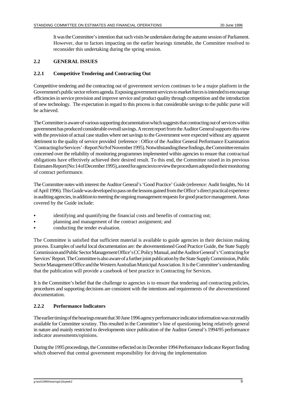It was the Committee's intention that such visits be undertaken during the autumn session of Parliament. However, due to factors impacting on the earlier hearings timetable, the Committee resolved to reconsider this undertaking during the spring session.

## **2.2 GENERAL ISSUES**

## **2.2.1 Competitive Tendering and Contracting Out**

Competitive tendering and the contracting out of government services continues to be a major platform in the Government's public sector reform agenda. Exposing government services to market forces is intended to encourage efficiencies in service provision and improve service and product quality through competition and the introduction of new technology. The expectation in regard to this process is that considerable savings to the public purse will be achieved.

The Committee is aware of various supporting documentation which suggests that contracting out of services within government has produced considerable overall savings. A recent report from the Auditor General supports this view with the provision of actual case studies where net savings to the Government were expected without any apparent detriment to the quality of service provided (reference : Office of the Auditor General Performance Examination 'Contracting for Services' - Report No 9 of November 1995). Notwithstanding these findings, the Committee remains concerned over the reliability of monitoring programmes implemented within agencies to ensure that contractual obligations have effectively achieved their desired result. To this end, the Committee raised in its previous Estimates Report (No:14 of December 1995), a need for agencies to review the procedures adopted in their monitoring of contract performance.

The Committee notes with interest the Auditor General's 'Good Practice' Guide (reference: Audit Insights, No 14 of April 1996). This Guide was developed to pass on the lessons gained from the Office's direct practical experience in auditing agencies, in addition to meeting the ongoing management requests for good practice management. Areas covered by the Guide include:

- identifying and quantifying the financial costs and benefits of contracting out;
- planning and management of the contract assignment; and
- conducting the tender evaluation.

The Committee is satisfied that sufficient material is available to guide agencies in their decision making process. Examples of useful local documentation are: the abovementioned Good Practice Guide, the State Supply Commissionand Public Sector Management Office's CC Policy Manual, and the Auditor General's 'Contracting for Services' Report. The Committee is also aware of a further joint publication by the State Supply Commission, Public Sector Management Office and the Western Australian Municipal Association. It is the Committee's understanding that the publication will provide a casebook of best practice in Contracting for Services.

It is the Committee's belief that the challenge to agencies is to ensure that tendering and contracting policies, procedures and supporting decisions are consistent with the intentions and requirements of the abovementioned documentation.

## **2.2.2 Performance Indicators**

The earlier timing of the hearings meant that 30 June 1996 agency performance indicator information was not readily available for Committee scrutiny. This resulted in the Committee's line of questioning being relatively general in nature and mainly restricted to developments since publication of the Auditor General's 1994/95 performance indicator assessments/opinions.

During the 1995 proceedings, the Committee reflected on its December 1994 Performance Indicator Report finding which observed that central government responsibility for driving the implementation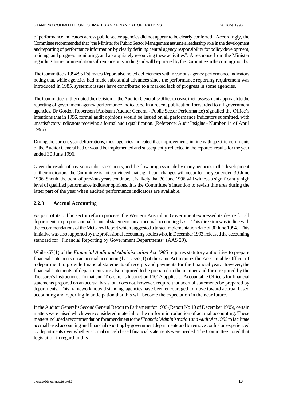of performance indicators across public sector agencies did not appear to be clearly conferred. Accordingly, the Committee recommended that "the Minister for Public Sector Management assume a leadership role in the development and reporting of performance information by clearly defining central agency responsibility for policy development, training, and progress monitoring, and appropriately resourcing these activities". A response from the Minister regarding this recommendation still remains outstanding and will be pursued by the Committee in the coming months.

The Committee's 1994/95 Estimates Report also noted deficiencies within various agency performance indicators noting that, while agencies had made substantial advances since the performance reporting requirement was introduced in 1985, systemic issues have contributed to a marked lack of progress in some agencies.

The Committee further noted the decision of the Auditor General's Office to cease their assessment approach to the reporting of government agency performance indicators. In a recent publication forwarded to all government agencies, Dr Gordon Robertson (Assistant Auditor General - Public Sector Performance) signalled the Office's intentions that in 1996, formal audit opinions would be issued on all performance indicators submitted, with unsatisfactory indicators receiving a formal audit qualification. (Reference: Audit Insights - Number 14 of April 1996)

During the current year deliberations, most agencies indicated that improvements in line with specific comments of the Auditor General had or would be implemented and subsequently reflected in the reported results for the year ended 30 June 1996.

Given the results of past year audit assessments, and the slow progress made by many agencies in the development of their indicators, the Committee is not convinced that significant changes will occur for the year ended 30 June 1996. Should the trend of previous years continue, it is likely that 30 June 1996 will witness a significantly high level of qualified performance indicator opinions. It is the Committee's intention to revisit this area during the latter part of the year when audited performance indicators are available.

## **2.2.3 Accrual Accounting**

As part of its public sector reform process, the Western Australian Government expressed its desire for all departments to prepare annual financial statements on an accrual accounting basis. This direction was in line with the recommendations of the McCarry Report which suggested a target implementation date of 30 June 1994. This initiative was also supported by the professional accounting bodies who, in December 1993, released the accounting standard for "Financial Reporting by Government Departments" (AAS 29).

While s67(1) of the *Financial Audit and Administration Act 1985* requires statutory authorities to prepare financial statements on an accrual accounting basis, s62(1) of the same Act requires the Accountable Officer of a department to provide financial statements of receipts and payments for the financial year. However, the financial statements of departments are also required to be prepared in the manner and form required by the Treasurer's Instructions. To that end, Treasurer's Instruction 1101A applies to Accountable Officers for financial statements prepared on an accrual basis, but does not, however, require that accrual statements be prepared by departments. This framework notwithstanding, agencies have been encouraged to move toward accrual based accounting and reporting in anticipation that this will become the expectation in the near future.

In the Auditor General's Second General Report to Parliament for 1995 (Report No 10 of December 1995), certain matters were raised which were considered material to the uniform introduction of accrual accounting. These matters included a recommendation for amendment to the *Financial Administration and Audit Act 1985* to facilitate accrual based accounting and financial reporting by government departments and to remove confusion experienced by departments over whether accrual or cash based financial statements were needed. The Committee noted that legislation in regard to this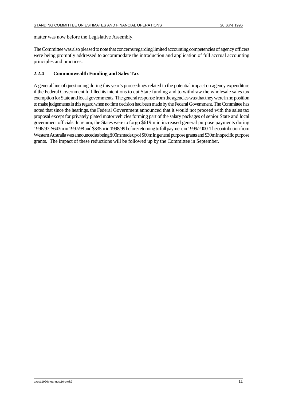matter was now before the Legislative Assembly.

The Committee was also pleased to note that concerns regarding limited accounting competencies of agency officers were being promptly addressed to accommodate the introduction and application of full accrual accounting principles and practices.

#### **2.2.4 Commonwealth Funding and Sales Tax**

A general line of questioning during this year's proceedings related to the potential impact on agency expenditure if the Federal Government fulfilled its intentions to cut State funding and to withdraw the wholesale sales tax exemption for State and local governments. The general response from the agencies was that they were in no position to make judgements in this regard when no firm decision had been made by the Federal Government. The Committee has noted that since the hearings, the Federal Government announced that it would not proceed with the sales tax proposal except for privately plated motor vehicles forming part of the salary packages of senior State and local government officials. In return, the States were to forgo \$619m in increased general purpose payments during 1996/97, \$643m in 1997/98 and \$335m in 1998/99 before returning to full payment in 1999/2000. The contribution from Western Australia was announced as being \$90m made up of \$60m in general purpose grants and \$30m in specific purpose grants. The impact of these reductions will be followed up by the Committee in September.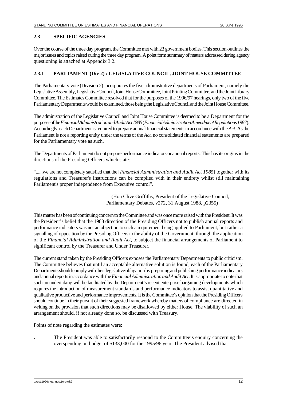## **2.3 SPECIFIC AGENCIES**

Over the course of the three day program, the Committee met with 23 government bodies. This section outlines the major issues and topics raised during the three day program. A point form summary of matters addressed during agency questioning is attached at Appendix 3.2.

## **2.3.1 PARLIAMENT (Div 2) : LEGISLATIVE COUNCIL, JOINT HOUSE COMMITTEE**

The Parliamentary vote (Division 2) incorporates the five administrative departments of Parliament, namely the LegislativeAssembly, Legislative Council, Joint House Committee, Joint Printing Committee, and the Joint Library Committee. The Estimates Committee resolved that for the purposes of the 1996/97 hearings, only two of the five Parliamentary Departments would be examined, those being the Legislative Council and the Joint House Committee.

The administration of the Legislative Council and Joint House Committee is deemed to be a Department for the purposes of the *Financial Administration and Audit Act 1985* (*Financial Administration Amendment Regulations 1987*). Accordingly, each Department is required to prepare annual financial statements in accordance with the *Act*. As the Parliament is not a reporting entity under the terms of the *Act*, no consolidated financial statements are prepared for the Parliamentary vote as such.

The Departments of Parliament do not prepare performance indicators or annual reports. This has its origins in the directions of the Presiding Officers which state:

"......we are not completely satisfied that the [*Financial Administration and Audit Act 1985*] together with its regulations and Treasurer's Instructions can be complied with in their entirety whilst still maintaining Parliament's proper independence from Executive control".

> (Hon Clive Griffiths, President of the Legislative Council, Parliamentary Debates, v272, 31 August 1988, p2355)

This matter has been of continuing concern to the Committee and was once more raised with the President. It was the President's belief that the 1988 direction of the Presiding Officers not to publish annual reports and performance indicators was not an objection to such a requirement being applied to Parliament, but rather a signalling of opposition by the Presiding Officers to the ability of the Government, through the application of the *Financial Administration and Audit Act*, to subject the financial arrangements of Parliament to significant control by the Treasurer and Under Treasurer.

The current stand taken by the Presiding Officers exposes the Parliamentary Departments to public criticism. The Committee believes that until an acceptable alternative solution is found, each of the Parliamentary Departments should comply with their legislative obligation by preparing and publishing performance indicators and annual reports in accordance with the *Financial Administration and Audit Act.* It is appropriate to note that such an undertaking will be facilitated by the Department's recent enterprise bargaining developments which requires the introduction of measurement standards and performance indicators to assist quantitative and qualitative productive and performance improvements. It is the Committee's opinion that the Presiding Officers should continue in their pursuit of their suggested framework whereby matters of compliance are directed in writing on the provision that such directions may be disallowed by either House. The viability of such an arrangement should, if not already done so, be discussed with Treasury.

Points of note regarding the estimates were:

**.** The President was able to satisfactorily respond to the Committee's enquiry concerning the overspending on budget of \$133,000 for the 1995/96 year. The President advised that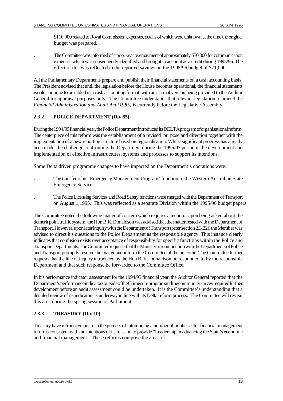\$110,000 related to Royal Commission expenses, details of which were unknown at the time the original budget was prepared.

**.** The Committee was informed of a prior year overpayment of approximately \$70,000 for communication expenses which was subsequently identified and brought to account as a credit during 1995/96. The effect of this was reflected in the reported savings on the 1995/96 budget of \$71,000.

All the Parliamentary Departments prepare and publish their financial statements on a cash accounting basis. The President advised that until the legislation before the House becomes operational, the financial statements would continue to be tabled in a cash accounting format, with an accrual version being provided to the Auditor General for appraisal purposes only. The Committee understands that relevant legislation to amend the *Financial Administration and Audit Act (1985)* is currently before the Legislative Assembly.

## **2.3.2 POLICE DEPARTMENT (Div 85)**

During the 1994/95 financial year, the Police Department introduced its DELTA program of organisational reform. The centerpiece of this reform was the establishment of a revised purpose and direction together with the implementation of a new reporting structure based on regionalisation. Whilst significant progress has already been made, the challenge confronting the Department during the 1996/97 period is the development and implementation of effective infrastructures, systems and processes to support its intentions.

Some Delta driven programme changes to have impacted on the Department's operations were:

- **.** The transfer of its 'Emergency Management Program' function to the Western Australian State Emergency Service.
- **.** The Police Licensing Services and Road Safety functions were merged with the Department of Transport on August 1,1995. This was reflected as a separate Division within the 1995/96 budget papers.

The Committee noted the following matter of concern which requires attention. Upon being asked about the demerit point traffic system, the Hon B.K. Donaldson was advised that the matter rested with the Department of Transport. However, upon later inquiry with the Department of Transport (refer section 2.3.22), the Member was advised to direct his questions to the Police Department as the responsible agency. This instance clearly indicates that confusion exists over acceptance of responsibility for specific functions within the Police and Transport Departments. The Committee requests that the Minister, in conjunction with the Departments of Police and Transport promptly resolve the matter and inform the Committee of the outcome. The Committee further requests that the line of inquiry introduced by the Hon B. K. Donaldson be responded to by the responsible Department and that such response be forwarded to the Committee Office.

In his performance indicator assessment for the 1994/95 financial year, the Auditor General reported that the Department's performance indicators outside of the Crime sub-program and the community survey required further development before an audit assessment could be undertaken. It is the Committee's understanding that a detailed review of its indicators is underway in line with its Delta reform process. The Committee will revisit this area during the spring session of Parliament.

# **2.3.3 TREASURY (Div 10)**

Treasury have introduced or are in the process of introducing a number of public sector financial management reforms consistent with the intentions of its mission to provide "Leadership in advancing the State's economic and financial management." These reforms comprise the areas of: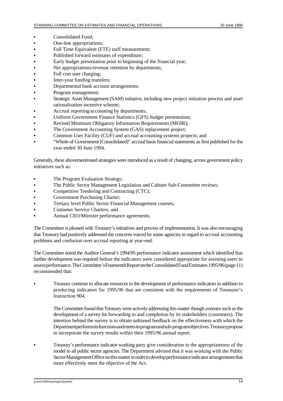- Consolidated Fund:
- One-line appropriations:
- Full Time Equivalent (FTE) staff measurement;
- Published forward estimates of expenditure;
- Early budget presentation prior to beginning of the financial year;
- Net appropriations/revenue retention by departments;
- Full cost user charging;
- Inter-year funding transfers;
- Departmental bank account arrangements;
- Program management;
- C Strategic Asset Management (SAM) initiative, including new project initiation process and asset rationalisation incentive scheme;
- Accrual reporting/accounting by departments;
- Uniform Government Finance Statistics (GFS) budget presentation;
- Revised Minimum Obligatory Information Requirements (MOIR);
- The Government Accounting System (GAS) replacement project:
- Common User Facility (CUF) and accrual accounting systems projects; and
- "Whole of Government (Consolidated)" accrual basis financial statements as first published for the year ended 30 June 1994.

Generally, these abovementioned strategies were introduced as a result of changing, across government policy initiatives such as:

- The Program Evaluation Strategy;
- The Public Sector Management Legislation and Cabinet Sub-Committee reviews;
- Competitive Tendering and Contracting (CTC);
- Government Purchasing Charter;
- Tertiary level Public Sector Financial Management courses;
- Customer Service Charters; and
- Annual CEO/Minister performance agreements.

The Committee is pleased with Treasury's initiatives and process of implementation. It was also encouraging that Treasury had positively addressed the concerns voiced by some agencies in regard to accrual accounting problems and confusion over accrual reporting at year-end.

The Committee noted the Auditor General's 1994/95 performance indicator assessment which identified that further development was required before the indicators were considered appropriate for assisting users to assess performance. The Committee's Fourteenth Report on the Consolidated Fund Estimates 1995/96 (page 11) recommended that:

Treasury continue to allocate resources to the development of performance indicators in addition to producing indicators for 1995/96 that are consistent with the requirements of Treasurer's Instruction 904.

The Committee found that Treasury were actively addressing this matter though avenues such as the development of a survey for forwarding to and completion by its stakeholders (customers). The intention behind the survey is to obtain unbiased feedback on the effectiveness with which the Departmentperforms its functions and meets its program and sub-program objectives. Treasury propose to incorporate the survey results within their 1995/96 annual report.

C Treasury's performance indicator working party give consideration to the appropriateness of the model to all public sector agencies. The Department advised that it was working with the Public Sector Management Office on this matter in order to develop performance indicator arrangements that more effectively meet the objective of the Act.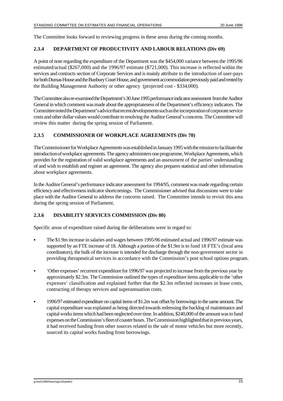The Committee looks forward to reviewing progress in these areas during the coming months.

### **2.3.4 DEPARTMENT OF PRODUCTIVITY AND LABOUR RELATIONS (Div 69)**

A point of note regarding the expenditure of the Department was the \$454,000 variance between the 1995/96 estimated/actual (\$267,000) and the 1996/97 estimate (\$721,000). This increase is reflected within the services and contracts section of Corporate Services and is mainly attribute to the introduction of user-pays for both Dumas House and the Bunbury Court House, and government accommodation previously paid and rented by the Building Management Authority or other agency (projected cost - \$334,000).

The Committee also re-examined the Department's 30 June 1995 performance indicator assessment from the Auditor General in which comment was made about the appropriateness of the Department's efficiency indicators. The Committee noted the Department's advice that recent developments such as the incorporation of corporate service costs and other dollar values would contribute to resolving the Auditor General's concerns. The Committee will review this matter during the spring session of Parliament.

## **2.3.5 COMMISSIONER OF WORKPLACE AGREEMENTS (Div 70)**

The Commissioner for Workplace Agreements was established in January 1995 with the mission to facilitate the introduction of workplace agreements. The agency administers one programme, Workplace Agreements, which provides for the registration of valid workplace agreements and an assessment of the parties' understanding of and wish to establish and register an agreement. The agency also prepares statistical and other information about workplace agreements.

In the Auditor General's performance indicator assessment for 1994/95, comment was made regarding certain efficiency and effectiveness indicator shortcomings. The Commissioner advised that discussions were to take place with the Auditor General to address the concerns raised. The Committee intends to revisit this area during the spring session of Parliament.

## **2.3.6 DISABILITY SERVICES COMMISSION (Div 80)**

Specific areas of expenditure raised during the deliberations were in regard to:

- C The \$1.9m increase in salaries and wages between 1995/96 estimated actual and 1996/97 estimate was supported by an FTE increase of 18. Although a portion of the \$1.9m is to fund 18 FTE's (local area coordinators), the bulk of the increase is intended for discharge through the non-government sector in providing therapeutical services in accordance with the Commission's post school options program.
- C 'Other expenses' recurrent expenditure for 1996/97 was projected to increase from the previous year by approximately \$2.3m. The Commission outlined the types of expenditure items applicable to the 'other expenses' classification and explained further that the \$2.3m reflected increases in lease costs, contracting of therapy services and superannuation costs.
- C 1996/97 estimated expenditure on capital items of \$1.2m was offset by borrowings to the same amount. The capital expenditure was explained as being directed towards redressing the backlog of maintenance and capital works items which had been neglected over time. In addition, \$240,000 of the amount was to fund expenses on the Commission's fleet of coaster buses. The Commission highlighted that in previous years, it had received funding from other sources related to the sale of motor vehicles but more recently, sourced its capital works funding from borrowings.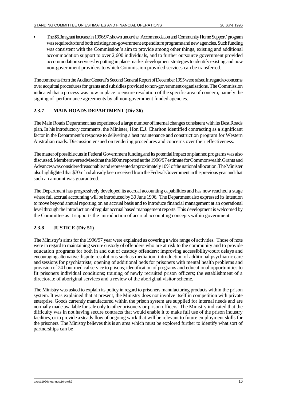The \$6.3m grant increase in 1996/97, shown under the 'Accommodation and Community Home Support' program was required to fund both existing non-government expenditure programs and new agencies. Such funding was consistent with the Commission's aim to provide among other things, existing and additional accommodation support to over 2,600 individuals, and to further outsource government provided accommodation services by putting in place market development strategies to identify existing and now non-government providers to which Commission provided services can be transferred.

The comments from the Auditor General's Second General Report of December 1995 were raised in regard to concerns over acquittal procedures for grants and subsidies provided to non-government organisations. The Commission indicated that a process was now in place to ensure resolution of the specific area of concern, namely the signing of performance agreements by all non-government funded agencies.

## **2.3.7 MAIN ROADS DEPARTMENT (Div 36)**

The Main Roads Department has experienced a large number of internal changes consistent with its Best Roads plan. In his introductory comments, the Minister, Hon E.J. Charlton identified contracting as a significant factor in the Department's response to delivering a best maintenance and construction program for Western Australian roads. Discussion ensued on tendering procedures and concerns over their effectiveness.

The matter of possible cuts in Federal Government funding and its potential impact on planned programs was also discussed. Members were advised that the \$80m reported as the 1996/97 estimate for Commonwealth Grants and Advances was considered reasonable and represented approximately 10% of the national allocation. The Minister also highlighted that \$70m had already been received from the Federal Government in the previous year and that such an amount was guaranteed.

The Department has progressively developed its accrual accounting capabilities and has now reached a stage where full accrual accounting will be introduced by 30 June 1996. The Department also expressed its intention to move beyond annual reporting on an accrual basis and to introduce financial management at an operational level through the introduction of regular accrual based management reports. This development is welcomed by the Committee as it supports the introduction of accrual accounting concepts within government.

## **2.3.8 JUSTICE (Div 51)**

The Ministry's aims for the 1996/97 year were explained as covering a wide range of activities. Those of note were in regard to maintaining secure custody of offenders who are at risk to the community and to provide education programs for both in and out of custody offenders; improving accessibility/court delays and encouraging alternative dispute resolutions such as mediation; introduction of additional psychiatric care and sessions for psychiatrists; opening of additional beds for prisoners with mental health problems and provision of 24 hour medical service to prisons; identification of programs and educational opportunities to fit prisoners individual conditions; training of newly recruited prison officers; the establishment of a directorate of aboriginal services and a review of the aboriginal visitor scheme.

The Ministry was asked to explain its policy in regard to prisoners manufacturing products within the prison system. It was explained that at present, the Ministry does not involve itself in competition with private enterprise. Goods currently manufactured within the prison system are supplied for internal needs and are normally made available for sale only to other prisoners or prison officers. The Ministry indicated that the difficulty was in not having secure contracts that would enable it to make full use of the prison industry facilities, or to provide a steady flow of ongoing work that will be relevant to future employment skills for the prisoners. The Ministry believes this is an area which must be explored further to identify what sort of partnerships can be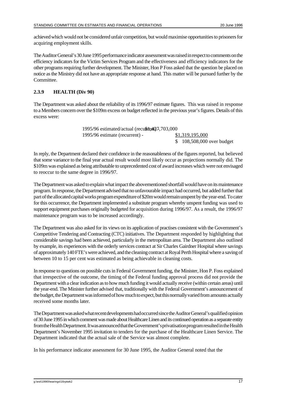achievedwhich would not be considered unfair competition, but would maximise opportunities to prisoners for acquiring employment skills.

TheAuditor General's 30 June 1995 performance indicator assessment was raised in respect to comments on the efficiency indicators for the Victim Services Program and the effectiveness and efficiency indicators for the other programs requiring further development. The Minister, Hon P Foss asked that the question be placed on notice as the Ministry did not have an appropriate response at hand. This matter will be pursued further by the Committee.

## **2.3.9 HEALTH (Div 90)**

The Department was asked about the reliability of its 1996/97 estimate figures. This was raised in response to a Members concern over the \$109m excess on budget reflected in the previous year's figures. Details of this excess were:

| 1995/96 estimated/actual (recurrent 427,703,000 |                            |
|-------------------------------------------------|----------------------------|
| 1995/96 estimate (recurrent) -                  | \$1,319,195,000            |
|                                                 | $$108,508,000$ over budget |

In reply, the Department declared their confidence in the reasonableness of the figures reported, but believed that some variance to the final year actual result would most likely occur as projections normally did. The \$109m was explained as being attributable to unprecedented cost of award increases which were not envisaged to reoccur to the same degree in 1996/97.

The Department was asked to explain what impact the abovementioned shortfall would have on its maintenance program. In response, the Department advised that no unfavourable impact had occurred, but added further that part of the allocated capital works program expenditure of \$20m would remain unspent by the year-end. To cater for this occurrence, the Department implemented a substitute program whereby unspent funding was used to support equipment purchases originally budgeted for acquisition during 1996/97. As a result, the 1996/97 maintenance program was to be increased accordingly.

The Department was also asked for its views on its application of practises consistent with the Government's Competitive Tendering and Contracting (CTC) initiatives. The Department responded by highlighting that considerable savings had been achieved, particularly in the metropolitan area. The Department also outlined by example, its experiences with the orderly services contract at Sir Charles Gairdner Hospital where savings of approximately 140 FTE's were achieved, and the cleaning contract at Royal Perth Hospital where a saving of between 10 to 15 per cent was estimated as being achievable in cleaning costs.

In response to questions on possible cuts in Federal Government funding, the Minister, Hon P. Foss explained that irrespective of the outcome, the timing of the Federal funding approval process did not provide the Department with a clear indication as to how much funding it would actually receive (within certain areas) until the year-end. The Minister further advised that, traditionally with the Federal Government's announcement of the budget, the Department was informed of how much to expect, but this normally varied from amounts actually received some months later.

The Department was asked what recent developments had occurred since the Auditor General's qualified opinion of 30 June 1995 in which comment was made about Healthcare Linen and its continued operation as a separate entity from the Health Department. It was announced that the Government's privatisation program resulted in the Health Department's November 1995 invitation to tenders for the purchase of the Healthcare Linen Service. The Department indicated that the actual sale of the Service was almost complete.

In his performance indicator assessment for 30 June 1995, the Auditor General noted that the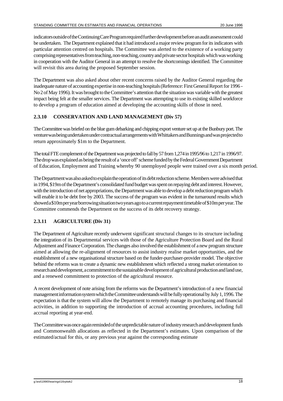indicators outside of the Continuing Care Program required further development before an audit assessment could be undertaken. The Department explained that it had introduced a major review program for its indicators with particular attention centred on hospitals. The Committee was alerted to the existence of a working party comprising representatives from teaching, non-teaching, country and private sector hospitals which was working in cooperation with the Auditor General in an attempt to resolve the shortcomings identified. The Committee will revisit this area during the proposed September session.

The Department was also asked about other recent concerns raised by the Auditor General regarding the inadequate nature of accounting expertise in non-teaching hospitals (Reference: First General Report for 1996 - No 2 of May 1996). It was brought to the Committee's attention that the situation was variable with the greatest impact being felt at the smaller services. The Department was attempting to use its existing skilled workforce to develop a program of education aimed at developing the accounting skills of those in need.

## **2.3.10 CONSERVATION AND LAND MANAGEMENT (Div 57)**

The Committee was briefed on the blue gum debarking and chipping export venture set up at the Bunbury port. The venture was being undertaken under contractual arrangements with Whittakers and Bunnings and was projected to return approximately \$1m to the Department.

The total FTE complement of the Department was projected to fall by 57 from 1,274 in 1995/96 to 1,217 in 1996/97. The drop was explained as being the result of a 'once off' scheme funded by the Federal Government Department of Education, Employment and Training whereby 90 unemployed people were trained over a six month period.

The Department was also asked to explain the operation of its debt reduction scheme. Members were advised that in 1994, \$19m of the Department's consolidated fund budget was spent on repaying debt and interest. However, with the introduction of net appropriations, the Department was able to develop a debt reduction program which will enable it to be debt free by 2003. The success of the program was evident in the turnaround results which showed a \$10m per year borrowing situation two years ago to a current repayment timetable of \$10m per year. The Committee commends the Department on the success of its debt recovery strategy.

## **2.3.11 AGRICULTURE (Div 31)**

The Department of Agriculture recently underwent significant structural changes to its structure including the integration of its Departmental services with those of the Agriculture Protection Board and the Rural Adjustment and Finance Corporation. The changes also involved the establishment of a new program structure aimed at allowing the re-alignment of resources to assist industry realise market opportunities, and the establishment of a new organisational structure based on the funder-purchaser-provider model. The objective behind the reforms was to create a dynamic new establishment which reflected a strong market orientation to research and development, a commitment to the sustainable development of agricultural production and land use, and a renewed commitment to protection of the agricultural resource.

A recent development of note arising from the reforms was the Department's introduction of a new financial management information system which the Committee understands will be fully operational by July 1, 1996. The expectation is that the system will allow the Department to remotely manage its purchasing and financial activities, in addition to supporting the introduction of accrual accounting procedures, including full accrual reporting at year-end.

The Committee was once again reminded of the unpredictable nature of industry research and development funds and Commonwealth allocations as reflected in the Department's estimates. Upon comparison of the estimated/actual for this, or any previous year against the corresponding estimate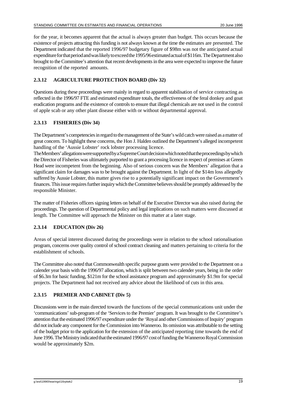for the year, it becomes apparent that the actual is always greater than budget. This occurs because the existence of projects attracting this funding is not always known at the time the estimates are presented. The Department indicated that the reported 1996/97 budgetary figure of \$98m was not the anticipated actual expenditure for that period and was likely to exceed the 1995/96 estimated actual of \$116m. The Department also brought to the Committee's attention that recent developments in the area were expected to improve the future recognition of the reported amounts.

## **2.3.12 AGRICULTURE PROTECTION BOARD (Div 32)**

Questions during these proceedings were mainly in regard to apparent stabilisation of service contracting as reflected in the 1996/97 FTE and estimated expenditure totals, the effectiveness of the feral donkey and goat eradication programs and the existence of controls to ensure that illegal chemicals are not used in the control of apple scab or any other plant disease either with or without departmental approval.

## **2.3.13 FISHERIES (Div 34)**

The Department's competencies in regard to the management of the State's wild catch were raised as a matter of great concern. To highlight these concerns, the Hon J. Halden outlined the Department's alleged incompetent handling of the 'Aussie Lobster' rock lobster processing licence.

The Members' allegations were supported by a Supreme Court decision which noted that the proceedings by which the Director of Fisheries was ultimately purported to grant a processing licence in respect of premises at Green Head were incompetent from the beginning. Also of serious concern was the Members' allegation that a significant claim for damages was to be brought against the Department. In light of the \$14m loss allegedly suffered by Aussie Lobster, this matter gives rise to a potentially significant impact on the Government's finances. This issue requires further inquiry which the Committee believes should be promptly addressed by the responsible Minister.

The matter of Fisheries officers signing letters on behalf of the Executive Director was also raised during the proceedings. The question of Departmental policy and legal implications on such matters were discussed at length. The Committee will approach the Minister on this matter at a later stage.

## **2.3.14 EDUCATION (Div 26)**

Areas of special interest discussed during the proceedings were in relation to the school rationalisation program, concerns over quality control of school contract cleaning and matters pertaining to criteria for the establishment of schools.

The Committee also noted that Commonwealth specific purpose grants were provided to the Department on a calender year basis with the 1996/97 allocation, which is split between two calender years, being in the order of \$6.3m for basic funding, \$121m for the school assistance program and approximately \$1.9m for special projects. The Department had not received any advice about the likelihood of cuts in this area.

## **2.3.15 PREMIER AND CABINET (Div 5)**

Discussions were in the main directed towards the functions of the special communications unit under the 'communications' sub-program of the 'Services to the Premier' program. It was brought to the Committee's attention that the estimated 1996/97 expenditure under the 'Royal and other Commissions of Inquiry' program did not include any component for the Commission into Wanneroo. Its omission was attributable to the setting of the budget prior to the application for the extension of the anticipated reporting time towards the end of June 1996. The Ministry indicated that the estimated 1996/97 cost of funding the Wanneroo Royal Commission would be approximately \$2m.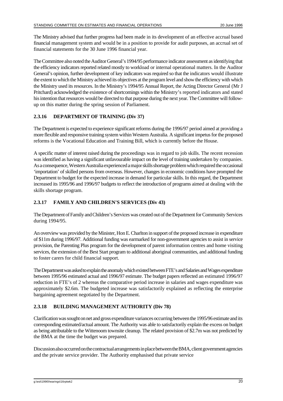The Ministry advised that further progress had been made in its development of an effective accrual based financial management system and would be in a position to provide for audit purposes, an accrual set of financial statements for the 30 June 1996 financial year.

The Committee also noted the Auditor General's 1994/95 performance indicator assessment as identifying that the efficiency indicators reported related mostly to workload or internal operational matters. In the Auditor General's opinion, further development of key indicators was required so that the indicators would illustrate the extent to which the Ministry achieved its objectives at the program level and show the efficiency with which the Ministry used its resources. In the Ministry's 1994/95 Annual Report, the Acting Director General (Mr J Pritchard) acknowledged the existence of shortcomings within the Ministry's reported indicators and stated his intention that resources would be directed to that purpose during the next year. The Committee will followup on this matter during the spring session of Parliament.

## **2.3.16 DEPARTMENT OF TRAINING (Div 37)**

The Department is expected to experience significant reforms during the 1996/97 period aimed at providing a more flexible and responsive training system within Western Australia. A significant impetus for the proposed reforms is the Vocational Education and Training Bill, which is currently before the House.

A specific matter of interest raised during the proceedings was in regard to job skills. The recent recession was identified as having a significant unfavourable impact on the level of training undertaken by companies. As a consequence, Western Australia experienced a major skills shortage problem which required the occasional 'importation' of skilled persons from overseas. However, changes in economic conditions have prompted the Department to budget for the expected increase in demand for particular skills. In this regard, the Department increased its 1995/96 and 1996/97 budgets to reflect the introduction of programs aimed at dealing with the skills shortage program.

## **2.3.17 FAMILY AND CHILDREN'S SERVICES (Div 43)**

The Department of Family and Children's Services was created out of the Department for Community Services during 1994/95.

An overview was provided by the Minister, Hon E. Charlton in support of the proposed increase in expenditure of \$11m during 1996/97. Additional funding was earmarked for non-government agencies to assist in service provision, the Parenting Plus program for the development of parent information centres and home visiting services, the extension of the Best Start program to additional aboriginal communities, and additional funding to foster carers for child financial support.

The Department was asked to explain the anomaly which existed between FTE's and Salaries and Wages expenditure between 1995/96 estimated actual and 1996/97 estimate. The budget papers reflected an estimated 1996/97 reduction in FTE's of 2 whereas the comparative period increase in salaries and wages expenditure was approximately \$2.6m. The budgeted increase was satisfactorily explained as reflecting the enterprise bargaining agreement negotiated by the Department.

# **2.3.18 BUILDING MANAGEMENT AUTHORITY (Div 78)**

Clarification was sought on net and gross expenditure variances occurring between the 1995/96 estimate and its corresponding estimated/actual amount. The Authority was able to satisfactorily explain the excess on budget as being attributable to the Wittenoom townsite cleanup. The related provision of \$2.7m was not predicted by the BMA at the time the budget was prepared.

Discussion also occurred on the contractual arrangements in place between the BMA, client government agencies and the private service provider. The Authority emphasised that private service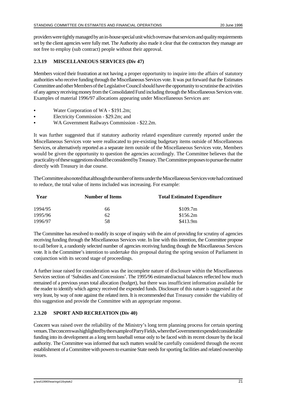providerswere tightly managed by an in-house special unit which oversaw that services and quality requirements set by the client agencies were fully met. The Authority also made it clear that the contractors they manage are not free to employ (sub contract) people without their approval.

## **2.3.19 MISCELLANEOUS SERVICES (Div 47)**

Members voiced their frustration at not having a proper opportunity to inquire into the affairs of statutory authorities who receive funding through the Miscellaneous Services vote. It was put forward that the Estimates Committee and other Members of the Legislative Council should have the opportunity to scrutinise the activities of any agency receiving money from the Consolidated Fund including through the Miscellaneous Services vote. Examples of material 1996/97 allocations appearing under Miscellaneous Services are:

- Water Corporation of WA \$191.2m;
- Electricity Commission \$29.2m; and
- WA Government Railways Commission \$22.2m.

It was further suggested that if statutory authority related expenditure currently reported under the Miscellaneous Services vote were reallocated to pre-existing budgetary items outside of Miscellaneous Services, or alternatively reported as a separate item outside of the Miscellaneous Services vote, Members would be given the opportunity to question the agencies accordingly. The Committee believes that the practicality of these suggestions should be considered by Treasury. The Committee proposes to pursue the matter directly with Treasury in due course.

The Committee also noted that although the number of items under the Miscellaneous Services vote had continued to reduce, the total value of items included was increasing. For example:

| Year    | <b>Number of Items</b> | <b>Total Estimated Expenditure</b> |
|---------|------------------------|------------------------------------|
| 1994/95 | 66                     | \$109.7m                           |
| 1995/96 | 62                     | \$156.2m                           |
| 1996/97 | 58                     | \$413.9m                           |

The Committee has resolved to modify its scope of inquiry with the aim of providing for scrutiny of agencies receiving funding through the Miscellaneous Services vote. In line with this intention, the Committee propose to call before it, a randomly selected number of agencies receiving funding though the Miscellaneous Services vote. It is the Committee's intention to undertake this proposal during the spring session of Parliament in conjunction with its second stage of proceedings.

A further issue raised for consideration was the incomplete nature of disclosure within the Miscellaneous Services section of 'Subsidies and Concessions'. The 1995/96 estimated/actual balances reflected how much remained of a previous years total allocation (budget), but there was insufficient information available for the reader to identify which agency received the expended funds. Disclosure of this nature is suggested at the very least, by way of note against the related item. It is recommended that Treasury consider the viability of this suggestion and provide the Committee with an appropriate response.

## **2.3.20 SPORT AND RECREATION (Div 40)**

Concern was raised over the reliability of the Ministry's long term planning process for certain sporting venues. The concern was highlighted by the example of Parry Fields, where the Government expended considerable funding into its development as a long term baseball venue only to be faced with its recent closure by the local authority. The Committee was informed that such matters would be carefully considered through the recent establishment of a Committee with powers to examine State needs for sporting facilities and related ownership issues.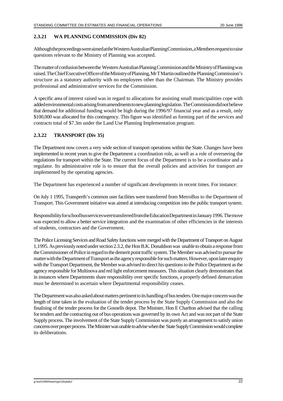## **2.3.21 WA PLANNING COMMISSION (Div 82)**

Although the proceedings were aimed at the Western Australian Planning Commission, a Members request to raise questions relevant to the Ministry of Planning was accepted.

Thematter of confusion between the Western Australian Planning Commission and the Ministry of Planning was raised. The Chief Executive Officer of the Ministry of Planning, Mr T Martin outlined the Planning Commission's structure as a statutory authority with no employees other than the Chairman. The Ministry provides professional and administrative services for the Commission.

A specific area of interest raised was in regard to allocations for assisting small municipalities cope with added environmental costs arising from amendments to new planning legislation. The Commission did not believe that demand for additional funding would be high during the 1996/97 financial year and as a result, only \$100,000 was allocated for this contingency. This figure was identified as forming part of the services and contracts total of \$7.3m under the Land Use Planning Implementation program.

## **2.3.22 TRANSPORT (Div 35)**

The Department now covers a very wide section of transport operations within the State. Changes have been implemented in recent years to give the Department a coordination role, as well as a role of overseeing the regulations for transport within the State. The current focus of the Department is to be a coordinator and a regulator. Its administrative role is to ensure that the overall policies and activities for transport are implemented by the operating agencies.

The Department has experienced a number of significant developments in recent times. For instance:

On July 1 1995, Transperth's common user facilities were transferred from MetroBus to the Department of Transport. This Government initiative was aimed at introducing competition into the public transport system.

Responsibility for school bus services were transferred from the Education Department in January 1996. The move was expected to allow a better service integration and the examination of other efficiencies in the interests of students, contractors and the Government.

The Police Licensing Services and Road Safety functions were merged with the Department of Transport on August 1,1995. As previously noted under section 2.3.2, the Hon B.K. Donaldson was unable to obtain a response from the Commissioner of Police in regard to the demerit point traffic system. The Member was advised to pursue the matter with the Department of Transport as the agency responsible for such matters. However, upon later enquiry with the Transport Department, the Member was advised to direct his questions to the Police Department as the agency responsible for Multinova and red light enforcement measures. This situation clearly demonstrates that in instances where Departments share responsibility over specific functions, a properly defined demarcation must be determined to ascertain where Departmental responsibility ceases.

The Department was also asked about matters pertinent to its handling of bus tenders. One major concern was the length of time taken in the evaluation of the tender process by the State Supply Commission and also the finalising of the tender process for the Gosnells depot. The Minister, Hon E Charlton advised that the calling for tenders and the contracting out of bus operations was governed by its own Act and was not part of the State Supply process. The involvement of the State Supply Commission was purely an arrangement to satisfy union concerns over proper process. The Minister was unable to advise when the State Supply Commission would complete its deliberations.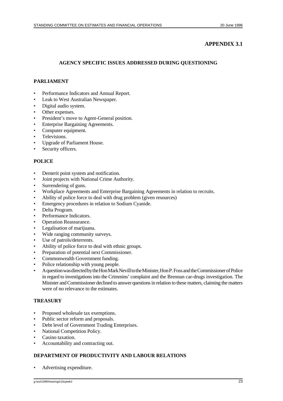## **APPENDIX 3.1**

## **AGENCY SPECIFIC ISSUES ADDRESSED DURING QUESTIONING**

## **PARLIAMENT**

- Performance Indicators and Annual Report.
- Leak to West Australian Newspaper.
- Digital audio system.
- Other expenses.
- President's move to Agent-General position.
- Enterprise Bargaining Agreements.
- Computer equipment.
- Televisions.
- Upgrade of Parliament House.
- Security officers.

## **POLICE**

- Demerit point system and notification.
- Joint projects with National Crime Authority.
- Surrendering of guns.
- Workplace Agreements and Enterprise Bargaining Agreements in relation to recruits.
- Ability of police force to deal with drug problem (given resources)
- Emergency procedures in relation to Sodium Cyanide.
- Delta Program.
- Performance Indicators.
- Operation Reassurance.
- Legalisation of marijuana.
- Wide ranging community surveys.
- Use of patrols/deterrents.
- Ability of police force to deal with ethnic groups.
- Preparation of potential next Commissioner.
- Commonwealth Government funding.
- Police relationship with young people.
- A question was directed by the Hon Mark Nevill to the Minister, Hon P. Foss and the Commissioner of Police in regard to investigations into the Crimmins' complaint and the Brennan car-drugs investigation. The Minister and Commissioner declined to answer questions in relation to these matters, claiming the matters were of no relevance to the estimates.

#### **TREASURY**

- Proposed wholesale tax exemptions.
- Public sector reform and proposals.
- Debt level of Government Trading Enterprises.
- National Competition Policy.
- Casino taxation.
- Accountability and contracting out.

#### **DEPARTMENT OF PRODUCTIVITY AND LABOUR RELATIONS**

• Advertising expenditure.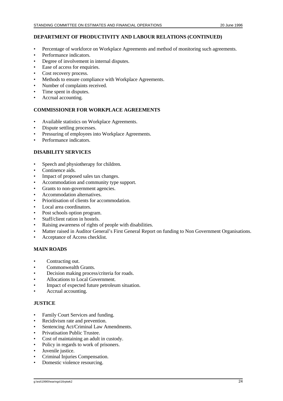#### **DEPARTMENT OF PRODUCTIVITY AND LABOUR RELATIONS (CONTINUED)**

- Percentage of workforce on Workplace Agreements and method of monitoring such agreements.
- Performance indicators.
- Degree of involvement in internal disputes.
- Ease of access for enquiries.
- Cost recovery process.
- Methods to ensure compliance with Workplace Agreements.
- Number of complaints received.
- Time spent in disputes.
- Accrual accounting.

#### **COMMISSIONER FOR WORKPLACE AGREEMENTS**

- Available statistics on Workplace Agreements.
- Dispute settling processes.
- Pressuring of employees into Workplace Agreements.
- Performance indicators.

#### **DISABILITY SERVICES**

- Speech and physiotherapy for children.
- Continence aids.
- Impact of proposed sales tax changes.
- Accommodation and community type support.
- Grants to non-government agencies.
- Accommodation alternatives.
- Prioritisation of clients for accommodation.
- Local area coordinators.
- Post schools option program.
- Staff/client ration in hostels.
- Raising awareness of rights of people with disabilities.
- Matter raised in Auditor General's First General Report on funding to Non Government Organisations.
- Acceptance of Access checklist.

#### **MAIN ROADS**

- Contracting out.
- Commonwealth Grants.
- Decision making process/criteria for roads.
- Allocations to Local Government.
- Impact of expected future petroleum situation.
- Accrual accounting.

#### **JUSTICE**

- Family Court Services and funding.
- Recidivism rate and prevention.
- Sentencing Act/Criminal Law Amendments.
- Privatisation Public Trustee.
- Cost of maintaining an adult in custody.
- Policy in regards to work of prisoners.
- Juvenile justice.
- Criminal Injuries Compensation.
- Domestic violence resourcing.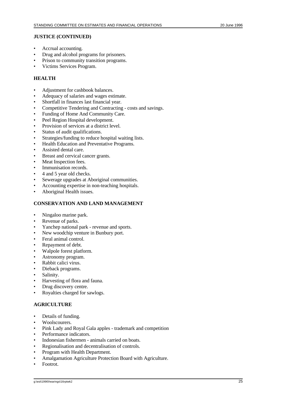#### **JUSTICE (CONTINUED)**

- Accrual accounting.
- Drug and alcohol programs for prisoners.
- Prison to community transition programs.
- Victims Services Program.

#### **HEALTH**

- Adjustment for cashbook balances.
- Adequacy of salaries and wages estimate.
- Shortfall in finances last financial year.
- Competitive Tendering and Contracting costs and savings.
- Funding of Home And Community Care.
- Peel Region Hospital development.
- Provision of services at a district level.
- Status of audit qualifications.
- Strategies/funding to reduce hospital waiting lists.
- Health Education and Preventative Programs.
- Assisted dental care.
- Breast and cervical cancer grants.
- Meat Inspection fees.
- Immunisation records.
- 4 and 5 year old checks.
- Sewerage upgrades at Aboriginal communities.
- Accounting expertise in non-teaching hospitals.
- Aboriginal Health issues.

#### **CONSERVATION AND LAND MANAGEMENT**

- Ningaloo marine park.
- Revenue of parks.
- Yanchep national park revenue and sports.
- New woodchip venture in Bunbury port.
- Feral animal control.
- Repayment of debt.
- Walpole forest platform.
- Astronomy program.
- Rabbit calici virus.
- Dieback programs.
- Salinity.
- Harvesting of flora and fauna.
- Drug discovery centre.
- Royalties charged for sawlogs.

#### **AGRICULTURE**

- Details of funding.
- Woolscourers.
- Pink Lady and Royal Gala apples trademark and competition
- Performance indicators.
- Indonesian fishermen animals carried on boats.
- Regionalisation and decentralisation of controls.
- Program with Health Department.
- Amalgamation Agriculture Protection Board with Agriculture.
- Footrot.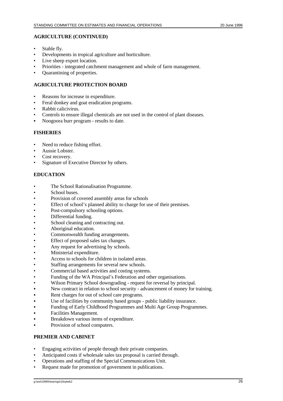#### **AGRICULTURE (CONTINUED)**

- Stable fly.
- Developments in tropical agriculture and horticulture.
- Live sheep export location.
- Priorities integrated catchment management and whole of farm management.
- Quarantining of properties.

#### **AGRICULTURE PROTECTION BOARD**

- Reasons for increase in expenditure.
- Feral donkey and goat eradication programs.
- Rabbit calicivirus.
- Controls to ensure illegal chemicals are not used in the control of plant diseases.
- Noogoora burr program results to date.

#### **FISHERIES**

- Need to reduce fishing effort.
- Aussie Lobster.
- Cost recovery.
- Signature of Executive Director by others.

#### **EDUCATION**

- The School Rationalisation Programme.
- School buses.
- Provision of covered assembly areas for schools
- Effect of school's planned ability to charge for use of their premises.
- Post-compulsory schooling options.
- Differential funding.
- School cleaning and contracting out.
- Aboriginal education.
- Commonwealth funding arrangements.
- Effect of proposed sales tax changes.
- Any request for advertising by schools.
- Ministerial expenditure.
- Access to schools for children in isolated areas.
- Staffing arrangements for several new schools.
- Commercial based activities and costing systems.
- Funding of the WA Principal's Federation and other organisations.
- Wilson Primary School downgrading request for reversal by principal.
- New contract in relation to school security advancement of money for training.
- Rent charges for out of school care programs.
- C Use of facilities by community based groups public liability insurance.
- Funding of Early Childhood Programmes and Multi Age Group Programmes.
- Facilities Management.
- Breakdown various items of expenditure.
- Provision of school computers.

#### **PREMIER AND CABINET**

- Engaging activities of people through their private companies.
- Anticipated costs if wholesale sales tax proposal is carried through.
- Operations and staffing of the Special Communications Unit.
- Request made for promotion of government in publications.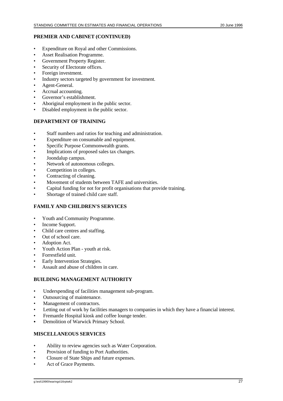#### **PREMIER AND CABINET (CONTINUED)**

- Expenditure on Royal and other Commissions.
- Asset Realisation Programme.
- Government Property Register.
- Security of Electorate offices.
- Foreign investment.
- Industry sectors targeted by government for investment.
- Agent-General.
- Accrual accounting.
- Governor's establishment.
- Aboriginal employment in the public sector.
- Disabled employment in the public sector.

#### **DEPARTMENT OF TRAINING**

- Staff numbers and ratios for teaching and administration.
- Expenditure on consumable and equipment.
- Specific Purpose Commonwealth grants.
- Implications of proposed sales tax changes.
- Joondalup campus.
- Network of autonomous colleges.
- Competition in colleges.
- Contracting of cleaning.
- Movement of students between TAFE and universities.
- Capital funding for not for profit organisations that provide training.
- Shortage of trained child care staff.

## **FAMILY AND CHILDREN'S SERVICES**

- Youth and Community Programme.
- Income Support.
- Child care centres and staffing.
- Out of school care.
- Adoption Act.
- Youth Action Plan youth at risk.
- Forrestfield unit.
- **Early Intervention Strategies.**
- Assault and abuse of children in care.

## **BUILDING MANAGEMENT AUTHORITY**

- Underspending of facilities management sub-program.
- Outsourcing of maintenance.
- Management of contractors.
- Letting out of work by facilities managers to companies in which they have a financial interest.
- Fremantle Hospital kiosk and coffee lounge tender.
- Demolition of Warwick Primary School.

#### **MISCELLANEOUS SERVICES**

- Ability to review agencies such as Water Corporation.
- Provision of funding to Port Authorities.
- Closure of State Ships and future expenses.
- Act of Grace Payments.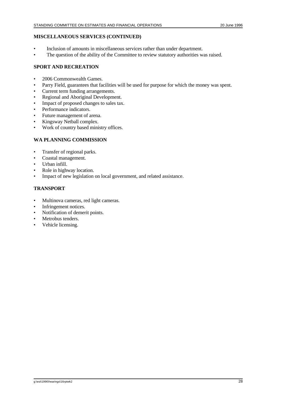#### **MISCELLANEOUS SERVICES (CONTINUED)**

- Inclusion of amounts in miscellaneous services rather than under department.
- The question of the ability of the Committee to review statutory authorities was raised.

## **SPORT AND RECREATION**

- 2006 Commonwealth Games.
- Parry Field, guarantees that facilities will be used for purpose for which the money was spent.
- Current term funding arrangements.
- Regional and Aboriginal Development.
- Impact of proposed changes to sales tax.
- Performance indicators.
- Future management of arena.
- Kingsway Netball complex.
- Work of country based ministry offices.

## **WA PLANNING COMMISSION**

- Transfer of regional parks.
- Coastal management.
- Urban infill.
- Role in highway location.
- Impact of new legislation on local government, and related assistance.

## **TRANSPORT**

- Multinova cameras, red light cameras.
- Infringement notices.
- Notification of demerit points.
- Metrobus tenders.
- Vehicle licensing.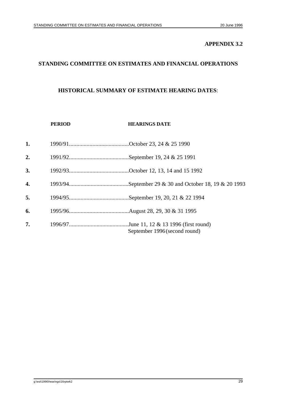## **APPENDIX 3.2**

# **STANDING COMMITTEE ON ESTIMATES AND FINANCIAL OPERATIONS**

## **HISTORICAL SUMMARY OF ESTIMATE HEARING DATES**:

|    | <b>PERIOD</b> | <b>HEARINGS DATE</b>          |
|----|---------------|-------------------------------|
| 1. |               |                               |
| 2. |               |                               |
| 3. |               |                               |
| 4. |               |                               |
| 5. |               |                               |
| 6. |               |                               |
| 7. |               | September 1996 (second round) |